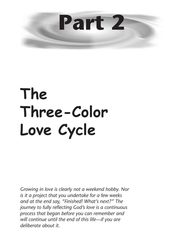

# **The Three-Color Love Cycle**

*Growing in love is clearly not a weekend hobby. Nor is it a project that you undertake for a few weeks and at the end say, "Finished! What's next?" The journey to fully reflecting God's love is a continuous process that began before you can remember and will continue until the end of this life—if you are deliberate about it.*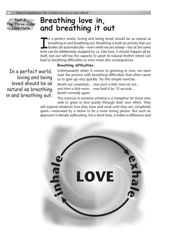**Part 2: The Three-Color Love Cycle**

### **Breathing love in, and breathing it out**

In a perfect world, loving and being loved should be as natural as breathing in and breathing out. Breathing is both an activity that our bodies do automatically—even while we are asleep—but at the same time can be deliber n a perfect world, loving and being loved should be as natural as breathing in and breathing out. Breathing is both an activity that our bodies do automatically—even while we are asleep—but at the same itself, but our will has the capacity to upset its natural rhythm which can lead to breathing difficulties or even more dire consequences.

### **Breathing diffculties**

In a perfect world, loving and being loved should be as natural as breathing in and breathing out. Unfortunately when it comes to growing in love, we each start the process with breathing difficulties that often cause us to give up very quickly. Try this simple exercise.

*Breath out completely… now push a little more air out… and then a little more… now hold it for 10 seconds… Breath normally again.*

This exercise in extreme *exhaling* is a metaphor for those who seek to grow in love purely through their own effort. They

will expend whatever love they have and work until they are completely spent—motivated by a desire to be a more loving person. But such an approach is literally suffocating. For a short time, it makes a difference and

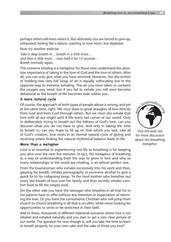perhaps others will even notice it. But ultimately you are forced to give up; exhausted; feeling like a failure; wanting to love more; but depleted.

Now try another exercise.

*Take a deep breath in… breath in a little more… and then a little more… now hold it for 10 seconds… Breath normally again.*

This extreme *inhaling* is a metaphor for those who understand the absolute importance of taking in the love of God and the love of others. After all, you can only give what you have received. However, the discomfort of holding two very full lungs of air is equally suffocating but in the opposite way to extreme exhaling. The air you have taken in contains the oxygen you need, but if you fail to exhale you will soon become delusional as the breath of life becomes stale within you.

### **A more natural cycle**

Of course, the approach of both types of people above is wrong, and yet at the same time, right. We *must* draw in great draughts of love directly from God and from God through others. But we *must also* exhale that love with all our might until it fills every last corner of our world. Only in deliberately trying to breath out the fullness of God's love, can you discover what you do not have to give. And only in taking the time to breath in, can you hope to fill up on that which you lack. Like all of God's creation, love exists in an eternal natural cycle of giving and receiving where finding the natural rhythmical balance leads to life.

### **More than a metaphor**

Love is as essential to experiencing *real* life as breathing is for keeping you alive over the next five minutes. In fact, the metaphor of breathing as a way of understanding both the way to grow in love and why so many relationships in the world are choking, is an almost perfect one.

From the businessman who exhales excessively into his work and then, gasping for breath, inhales pornography or excessive alcohol to give a quick fix to his collapsing lungs. To the tired mother who breathes out every last breath of love over her family and then secretly inhales comfort food to fill the empty void.

On the other side you have the teenager who breathes in all that his or her parents have to offer without any intention or expectation of returning the love. Or you have the consumerist Christian who will jump from church to church breathing in all that is on offer, while never looking for opportunities to serve or be stretched in their faith.

Add to these, thousands of different relational scenarios where love is not inhaled and exhaled naturally and you start to get a very clear picture of our world. The question for now though is, will *you* take the time to learn to breath properly for your own sake and the sake of those you love?



*Visit the web site for more discussion about the breathing metaphor.*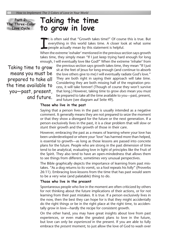**Part 2: The Three-Color Love Cycle**

### **Taking the time to grow in love**

I t is often said that "Growth takes time!" Of course this is true. But everything in this world takes time. A closer look at what some people actually mean by this statement is helpful.

When the extreme 'exhaler' mentioned in the previous section says growth takes time, they simply mean "If I just keep trying hard enough for long enough, I will eventually love like God!" When the extreme 'inhaler' from

Taking time to grow means you must be prepared to take all the time available to you—past, present, and future.

the previous section says growth takes time, they mean "If I just sit at the feet of Jesus for long enough (and continue to absorb the love others give to me) I will eventually radiate God's love." They are both right in saying their approach will take time. Considering they are both missing half of the respiration process, it will take forever! (Though of course they won't survive that long.) However, taking time to grow *does* mean you must be prepared to take all the time available to you—past, present, and future (see diagram auf Seite 49).

### **Those who live in the past**

Saying that a person lives in the past is usually intended as a negative comment. It generally means they are not prepared to seize the moment or that they show a disregard for the future or the next generation. If a person exclusively lives in the past, it is a clear problem that will slow or stunt their growth and the growth of those in their care.

However, embracing the past as a means of learning where your love has been underdeveloped or where your 'love' has harmed more than helped, is essential to growth—as long as those lessons are passed into concrete plans for the future. People who are strong in the past dimension of time tend to be analytical, evaluating love in light of principles like the Fruit of the Spirit. They also tend to have an open-mindedness that allows them to see things from different, sometimes very unusual perspectives.

The Bible graphically depicts the importance of learning from past mistakes. "As a dog returns to its vomit, so a fool repeats his folly" (Proverbs 26:11). Embracing love-lessons from the time that has past would seem to be a very wise (and palatable) thing to do.

### **Those who live in the present**

Spontaneous people who live in the moment are often criticized by others for not thinking about the future implications of their actions, or for not learning from their past mistakes. It is true. If a person exclusively lives in the now, then the best they can hope for is that they might accidentally do the right things or be in the right place at the right time, to accidentally grow in love—hardly the recipe for consistent growth.

On the other hand, you may have great insights about love from past experiences*,* or even make the greatest plans to love in the future, but love can only be *experienced* in the present. If you are able to fully embrace the *present* moment; to just allow the love of God to wash over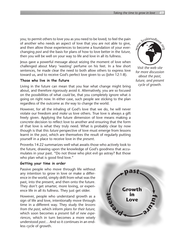you; to permit others to love you as you need to be loved; to feel the pain of another who needs an aspect of love that you are not able to give, and then allow those experiences to become a foundation of your everchanging *past* and the basis for plans of how to love better in the *future*, then you will be well on your way to life and love in all its fullness.

Jesus gave a powerful message about seizing the moment of love when challenged about Mary 'wasting' perfume on his feet. In a few short sentences, he made clear the need to both allow others to express love toward us, and to receive God's perfect love given to us (John 12:1-8).

### **Those who live in the future**

Living in the future can mean that you fear what change might bring about, and therefore rigorously avoid it. Alternatively, you are so focused on the possibilities of what *could* be, that you completely ignore what *is* going on right now. In either case, such people see sticking to the plan regardless of the outcome as *the* way to change the world.

However, for all the inhaling of God's love that we do, he will never violate our freedom and *make* us love others. True love is always a gift freely given. Applying the future dimension of love means making a concrete decision to reflect love to another and ensuring that the form of that love is what they truly need. What is probably clear by now though is that this *future* perspective of love must emerge from lessons learnt in the *past*, which are themselves the result of regularly putting yourself in a place to receive love in the *present*.

Proverbs 14:22 summarizes well what awaits those who actively look to the future, drawing upon the knowledge of God's goodness that accumulates in your past. "Do not those who plot evil go astray? But those who plan what is good find love."

### **Getting your time in order**

Passive people who move through life without any intention to grow in love or make a difference in the world, simply drift from what was the past, into the present, and then onto the future. They don't get smarter, more loving, or experience life in all its fullness. They just get older.

However, people who understand growth as a sign of life and love, intentionally move through time in a different way. They study the *lessons from the past,* which inform *plans for their future,* which soon becomes a *present full of new experiences,* which in turn becomes a more wisely understood *past*… And so it continues in an endless cycle of growth.





*Visit the web site for more discussion about the past, future, and present cycle of growth.*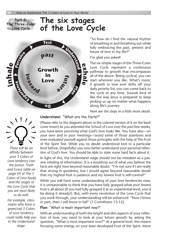#### **Part 2: The Three-Color Love Cycle The six stages of the Love Cycle**



"So how do I find the natural rhythm of breathing in and breathing out while fully embracing the past, present and future of love in my life?"

#### I'm glad you asked!

The six simple stages of the Three-Color Love Cycle represent a continuous pathway to growth that encompasses all of the above. Being cyclical, you can start wherever you like. What's more, if growth in love ever drifts off your daily priority list, you can come back to the cycle at any time. Sounds kind of like the way Jesus is prepared to keep picking us up no matter what happens along life's journey.

Here are the steps in a little more detail.

### **Understand: "**What are the facts?"

(Please refer to the diagram above or the colored version of it on the back cover insert) As you attended the School of Love over the *past* few weeks, you have been *perceiving* what God's love looks like. You have also—on your own and in your meetings—*tested* some of those assertions and even evaluated yourself against those principles with the help of The Fruit of the Spirit Test. While you no doubt understood love to a particular level before, (hopefully) you now better understand your personal reflection of God's love. You should be able to state some hard facts about it.

In light of this, the Understand stage should not be mistaken as a passive *inhaling* of information. It is a *breathing out* of what you believe the facts are right now beyond reasonable doubt. "I'm not sure if I am really that strong in goodness, but I would agree beyond reasonable doubt that my highest fruit is patience and my lowest fruit is self-control!"

While you will have some understanding of your love tendencies now, it is unreasonable to think that you have fully grasped what your lowest fruit is all about (If you had fully grasped it at an experiential level, you'd be doing it already!). But, with every revolution of the Love Cycle that you work through, your understanding will be enhanced. "Now I know in part, then I will know in full" (1 Corinthians 13:12).

### **Plan:** "What is most important now?"

With an *understanding* of both the bright and dim aspects of your reflection of love, you need to look at your future growth by asking the question, "What is most important now?" At a general level, this means focusing some energy on your least developed Fruit of the Spirit. More



*There will be an affinity between your 3 Colors of Love tendency (see the Justice, Truth and Grace table on page 69 of The 3 Colors of Love book) and the stages of the Love Cycle that you are most likely to do well.* 

*For example, classmates who have a green/red 3 Colors of Love tendency could really help you in the Understand stage.*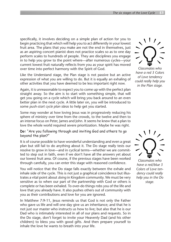specifically, it involves deciding on a simple plan of action for you to begin practicing that which will help you to act differently in your lowest fruit area. The plans that you make are not the end in themselves, just as an aspiring concert pianist does not practice scales so as to one day perform scales to hundreds of people. They are disciplines you engage in to help you grow to the point where—after numerous cycles—your current lowest fruit naturally reflects from you as your spirit has moved over time into perfect harmony with the Spirit of God.

Like the Understand stage, the Plan stage is not passive but an active expression of what you are willing to do. But it is equally an exhaling of other activities that you have deemed to be less important right now.

Again, it is unreasonable to expect you to come up with the perfect plan straight away. So the aim is to start with something simple, that will get you going on a cycle which will bring you back around to an even better plan in the next cycle. A little later on, you will be introduced to some *push-start cycle plan ideas* to help get you started.

Some may wonder at how loving Jesus was in progressively reducing his sphere of ministry over time from the crowds, to the twelve and then to an intense focus on Peter, James and John. It seems he knew that a plan to love the whole world required severe prioritization. Maybe he was right.

**Do:** "Are you following through and inviting God and others to go beyond the plan?"

It is of course possible to have wonderful understanding and even a great plan but still fail to do anything about it. The Do stage really tests our resolve to grow in love—and in cyclical terms—whether we are committed to step out in faith, even if we don't have all the answers yet about our lowest fruit area. Of course, if the previous stages have been worked through carefully, you can enter this stage with reasoned confidence.

You will notice that the Do stage falls exactly between the exhale and inhale side of the cycle. This is not just a graphical coincidence but illustrates a vital point about *doing* in Kingdom community. We must be very sensitive as to when our part of the partnership with God or others is complete or has been exhaled. To over-do things robs you of the life and love that you already have. It also pushes others out of community with you as their contributions and love for you are ignored.

In Matthew 7:9-11, Jesus reminds us that God is not only the Father who gave us life and will one day give us an inheritance; and that he is not just our master who instructs us how to live; but also that he is our Dad who is intimately interested in all of our plans and requests. So in the Do stage, don't forget to invite your Heavenly Dad (and his other children) to bless you with good gifts. And then prepare yourself to inhale the love he wants to breath into your life.

 $\sqrt{1}$ 

*Classmates who have a red 3 Colors of Love tendency could really help you in the Plan stage.*



*Classmates who have a red/blue 3 Colors of Love tendency could really help you in the Do stage.*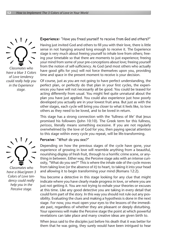

*Classmates who have a blue 3 Colors of Love tendency could really help you in the Experience stage.*



*Classmates who have a blue/green 3 Colors of Love tendency could really help you in the Perceive stage.*

**Experience:** "Have you freed yourself to receive from God and others?"

Having just invited God and others to fill you with their love, there is little sense in not hanging around long enough to receive it. The Experience stage is very much about freeing yourself to inhale love from others; freeing your timetable so that there are moments to just experience; freeing your mind from some of your pre-conceptions about love; freeing yourself from the notion of self-sufficiency. As God (and most others who actually have good gifts for you) will not force themselves upon you, providing time and space in the present moment to receive is your decision.

Of course, just as you are not going to have perfect understanding, the perfect plan, or perfectly do that plan in your first cycles, the experiences you have will not necessarily all be good. You could be teased for acting differently from usual. You might feel quite unnatural about the plan you have just applied. You could also experience just how poorly developed you actually are in your lowest fruit area. But just as with the other stages, each cycle will bring you closer to what it feels like, to love others as they need to be loved, and to be loved in return.

This stage has a strong connection with the 'fullness of life' that Jesus promised his followers (John 10:10). The Greek term for this fullness, *perissos*, literally means something excessive. If you are not regularly overwhelmed by the love of God for you, then paying special attention to this stage within every cycle you repeat, will be life-transforming.

### **Perceive:** "What do you see?"

Depending on how the previous stages of the cycle have gone, your experience of growing in love will resemble anything from a beautiful, nourishing display of fresh fruit, through to a horrific crime scene, or anything in between. Either way, the Perceive stage asks with an intense curiosity, "What do you see?" This is where the inhale side of the cycle moves from taking love (or the absence of it) to heart, to taking it into your head and allowing it to begin transforming your mind (Romans 12:2).

You become a detective in this stage looking for any clue that might indicate where you have clearly made progress in love, or where you are just not getting it. You are not trying to exhale your theories or excuses at this time. Like any good detective you are taking in every detail that could form part of the story. In this way you should not rule out any possibility. Evaluating the clues and making a hypothesis is done in the next stage. For now, you must open your eyes to the lessons of the immediate past, regardless of whether they are pleasant or deeply disturbing. Your openness will make the Perceive stage the point at which powerful revelations can take place and many creative ideas are given birth to.

When Jesus said to the disciples just before his death that it was better for them that he was going, they surely would have been intrigued to hear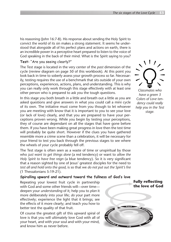his reasoning (John 16:7-8). His response about sending the Holy Spirit to convict the world of its sin makes a strong statement. It seems he understood that alongside all of his perfect plans and actions on earth, there is an incredible power in a perceptive heart prepared to listen to the voice of God speaking in the back of their mind. What is the Spirit saying to you?

### **Test:** "Are you seeing clearly?"

The Test stage is located in the very center of the *past* dimension of the cycle (review diagram on page 50 of this workbook). At this point you look back in time to soberly assess your growth process so far. Necessarily, testing requires the use of a benchmark that sits outside of your own perceptions, experiences, actions, plans, and understanding. This is why you can really only work through this stage effectively with at least one other person who is prepared to ask you the tough questions.

In this stage you both breath in a little and breath out a little as you are asked questions and give answers in what you could call a mini cycle of its own. The initiative must come from you though to let whoever you are meeting with know that it is important to you to see your love (or lack of love) clearly, and that you are prepared to have your perceptions proven wrong. While you begin by testing your perceptions, they of course are dependant on all the stages that have gone before them. If you have been making great progress in love then the test time will probably be quite short. However if the clues you have gathered resemble more a crime scene than a celebration, it will be necessary for your friend to test you back through the previous stages to see where the wheels of your cycle probably fell off.

The Test stage is often seen as a waste of time or unspiritual by those who *just want to get things done* (a red tendency) or want to *allow the Holy Spirit to have free reign* (a blue tendency). So it is very significant that a reason sighted by one of Jesus' greatest disciples for the need to *test all and hold onto the good,* is so that we *do not put out the Spirit's fire* (1 Thessalonians 5:19-21).

### **Spiralling upward and outward toward the fullness of God's love**

Repeating your lowest fruit cycle in partnership with God and some other friends will—over time deepen your *understanding* of it; help you to *plan* it more deliberately into your life; *do* your part more effectively; experience the light that it brings; see the effects of it more clearly; and teach you how to better test the quality of that fruit.

Of course the greatest gift of this upward spiral of love is that you will ultimately love God with all of your heart, and with your soul and with your mind, and know him as never before.



*Classmates who have a green 3 Colors of Love tendency could really help you in the Test stage.*

\ | /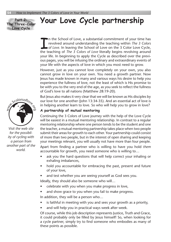# **Your Love Cycle partnership**

If the School of Love, a substantial commitment of your time has<br>revolved around understanding the teaching within *The 3 Colors*<br>of *Love*. In leaving the School of Love on the 3 Color Love Cycle,<br>the teaching of *The 3 C* n the School of Love, a substantial commitment of your time has revolved around understanding the teaching within *The 3 Colors of Love*. In leaving the School of Love on the 3 Color Love Cycle, your life. In beginning to apply the Cycle as described over the previous pages, you will be infusing the ordinary and extraordinary events of your life with the aspects of love in which you most need to grow.

However, just as you cannot love completely on your own, you also cannot grow in love on your own. You need a growth partner. Now Jesus has made known in many and various ways his desire to help you experience the fullness of love, not the least of which is His promise to be with you to the very end of the age, as you seek to reflect the fullness of God's love to all nations (Matthew 28:19-20).

But Jesus also makes it very clear that we will be known as His disciples by our love for one another (John 13:34-35). And an essential act of love is in helping another learn to love. So who will help you to grow in love?

### **A partnership of mutual mentoring**

Continuing the 3 Colors of Love journey with the help of the Love Cycle will be easiest in a mutual mentoring relationship. In contrast to a regular mentoring relationship where one person tends to be the student and one the teacher, a mutual mentoring partnership takes place when two people submit their areas for growth to each other. Your partnership could consist of more than two people, but in the interest of open sharing and keeping your meetings relevant, you will usually not have more than four people.

Apart from finding a partner who is willing to have you hold *them* accountable for growth, you need someone who is willing to…

- ask you the hard questions that will help correct your inhaling or exhaling imbalances,
- hold you accountable for embracing the past, present and future of your love,
- and test whether you are seeing yourself as God sees you.

Ideally, they should also be someone who will…

- celebrate with you when you make progress in love,
- and show grace to you when you fail to make progress.

In addition, they will be a person who…

- is faithful in meeting with you and sees your growth as a priority,
- and will help you in practical ways week after week.

Of course, while this job description represents Justice, Truth and Grace, it could probably only be filled by Jesus himself! So, when looking for a cycle partner, simply try to find someone who embodies as many of these points as possible.



**Part 2: The Three-Color Love Cycle**

*Visit the web site for the possibility of cycling with a person from another part of the world.*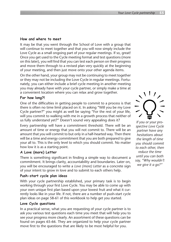### **How and where to meet**

It may be that you went through the School of Love with a group that will continue to meet together and that you will now simply include the Love Cycle as a small ongoing part of your regular meetings. If so, great! Once you get used to the Cycle meeting format and test questions (more on this later), you will find that you can test each person on their progress and move them through to a revised plan very quickly at the beginning of your meeting, and then just move onto your other agenda items.

On the other hand, your group may not be continuing to meet together or they may not be including the Love Cycle in regular meetings. Fortunately, you can either include a brief cycle meeting in another meeting you may already have with your cycle partner, or simply make a time at a convenient location where you can relax and grow together.

### **For how long?!**

One of the difficulties in getting people to commit to a process is that there is often no time limit placed on it. In asking "Will you be my Love Cycle partner?" you might as well be saying "For the rest of your life, will you commit to walking with me in a growth process that neither of us fully understand yet?" Doesn't sound very appealing does it?

Every partnership will have a commitment threshold. There will be an amount of time or energy that you will not commit to. There will be an amount that you will commit to but only in a half-hearted way. Then there will be a time and energy commitment that you are both prepared to give your all to. This is the only level to which you should commit. No matter how low it is as a starting point.

### **A Love (more) Letter**

There is something significant in finding a simple way to document a commitment. It brings clarity, accountability and boundaries. Later on, you will be encouraged to write a *Love (more) Letter* as a concrete sign of your intent to grow in love and to submit to each others help.

### **Push-start cycle plan ideas**

With your cycle partnership established, your primary task is to begin working through your first Love Cycle. You may be able to come up with your own unique first plan based upon your lowest fruit and what it currently looks like in your life. If not, there are a number of push-start cycle plan ideas on page 58-61 of this workbook to help get you started.

### **Love Cycle questions**

In a practical sense, what you are requesting of your cycle partner is to ask you various test questions each time you meet that will help you to see your progress more clearly. An assortment of these questions can be found on pages 65-66. They are organized to help your cycle partner move first to the questions that are likely to be most helpful for you.



*If you or your prospective Love Cycle partner have any hesitations about the length of time you should commit to each other, then reduce the time until you can both say, "Why wouldn't we give it a go?"*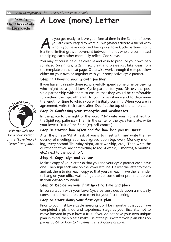# **A Love (more) Letter**

s you get ready to leave your formal time in the School of Love,<br>you are encouraged to write a *Love (more) Letter* to a friend with<br>whom you have discussed being in a Love Cycle partnership. It<br>is a time limited growth co you are encouraged to write a *Love (more) Letter* to a friend with whom you have discussed being in a Love Cycle partnership. It is a time-limited growth covenant between friends who are committed to helping each other more fully reflect God's love.

You may of course be quite creative and wish to produce your own personalized *Love (more) Letter*. If so, great and please just take ideas from the template on the next page. Otherwise work through the steps below either on your own or together with your prospective cycle partner.

### **Step 1: Choosing your growth partner**

If you haven't already done so, prayerfully spend some time perceiving who might be a good Love Cycle partner for you. Discuss the possible partnership with them to ensure that they would be comfortable submitting their growth areas to you for assistance and to determine the length of time to which you will initially commit. When you are in agreement, write their name after 'Dear' at the top of the template.

### **Step 2: Confessing your strengths and weaknesses**

In the space to the right of the word 'My' write your highest Fruit of the Spirit (eg. patience). Then, in the center of the cycle template, write your lowest Fruit of the Spirit (eg. self-control).

### **Step 3: Stating how often and for how long you will meet**

After the phrase 'What I ask of you is to meet with me' write the frequency of meetings you have agreed upon (eg. every Monday morning, every second Thursday night, after worship, etc.). Then write the duration that you are committing to (eg. 4 weeks, 2 months, 6 months, etc.) next to the word 'for'.

### **Step 4: Copy, sign and deliver**

Make a copy of your letter so that you and your cycle partner each have one. Then sign each one on the lower left line. Deliver the letter to them and ask them to sign each copy so that you can each have the reminder to hang on your office wall, refrigerator, or some other prominent place in your day-to-day world.

### **Step 5: Decide on your frst meeting time and place**

In consultation with your Love Cycle partner, decide upon a mutually convenient time and place to meet for your first meeting.

### **Step 6: Start doing your frst cycle plan**

Prior to your first Love Cycle meeting it will be important that you have completed a plan, do and experience stage as your first attempt to move forward in your lowest fruit. If you do not have your own unique plan in mind, then please make use of the push-start cycle plan ideas on pages 58-61 of *How to Implement The 3 Colors of Love*.



**Part 2: The Three-Color Love Cycle**

*Visit the web site for a color version of the "Love (more) Letter" template.*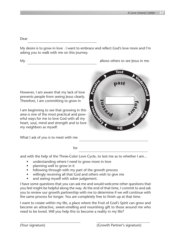#### \_\_\_\_\_\_\_\_\_\_\_\_\_\_\_\_\_\_\_\_\_\_\_\_\_\_\_\_\_\_\_\_\_\_\_\_\_\_\_ Dear

My desire is to grow in love . I want to embrace and reflect God's love more and I'm asking you to walk with me on this journey.

My allows others to see Jesus in me.

However, I am aware that my lack of love prevents people from seeing Jesus clearly. Therefore, I am committing to grow in

\_\_\_\_\_\_\_\_\_\_\_\_\_\_\_\_\_\_\_\_\_\_\_\_\_\_\_\_\_\_\_\_\_\_\_\_\_\_\_

I am beginning to see that growing in this area is one of the most practical and powerful ways for me to love God with all my heart, soul, mind and strength and to love my neighbors as myself.

What I ask of you is to meet with me

for the contract of the contract of the contract of the contract of the contract of the contract of the contract of the contract of the contract of the contract of the contract of the contract of the contract of the contra

and with the help of the Three-Color Love Cycle, to test me as to whether I am...

- understanding where I need to grow more in love
- planning well to grow in it
- following through with my part of the growth process
- willingly receiving all that God and others wish to give me
- and seeing myself with sober judgement.

I have some questions that you can ask me and would welcome other questions that you feel might be helpful along the way. At the end of that time, I commit to and ask you to review our growth partnership with me to determine if we will continue with the same process for longer. You are completely free to finish up at that time.

I want to create within my life, a place where the Fruit of God's Spirit can grow and become an attractive, sweet-smelling and nourishing gift to those around me who need to be loved. Will you help this to become a reality in my life?

\_\_\_\_\_\_\_\_\_\_\_\_\_\_\_\_\_\_\_\_\_\_\_\_\_\_\_\_\_\_\_\_\_\_ \_\_\_\_\_\_\_\_\_\_\_\_\_\_\_\_\_\_\_\_\_\_\_\_\_\_\_\_\_\_



\_\_\_\_\_\_\_\_\_\_\_\_\_\_\_\_\_\_\_\_\_\_\_\_\_\_\_\_\_\_\_\_\_\_\_\_\_\_\_

\_\_\_\_\_\_\_\_\_\_\_\_\_\_\_\_\_\_\_\_\_\_\_\_\_\_\_\_\_\_\_\_\_\_\_\_\_\_\_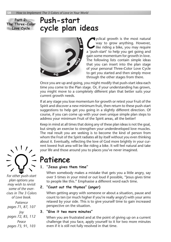**Part 2: The Three-Color Love Cycle**

### **Push-start T<sup>e</sup>st cycle plan ideas**



Syclical growth is the most natural<br>way to grow anything. However,<br>like riding a bike, you may require way to grow anything. However, like riding a bike, you may require a 'push-start' to help you get going and gain some momentum for growth in love. The following lists contain simple ideas that you can insert into the plan stage of your personal Three-Color Love Cycle to get you started and then simply move through the other stages from there.

Once you are up and going, you might modify that push-start idea each time you come to the Plan stage. Or, if your understanding has grown, you might move to a completely different plan that better suits your current growth needs.

If at any stage you lose momentum for growth or retest your Fruit of the Spirit and discover a new minimum fruit, then return to these push-start suggestions to help get you going in a slightly different direction. Of course, if you can come up with your own unique simple plan steps to address your minimum Fruit of the Spirit areas, all the better!

Keep in mind at all times that doing any of these plan ideas is not the goal, but simply an exercise to strengthen your underdeveloped love muscles. The real result you are seeking is to become the kind of person from whom the Fruit of the Spirit radiates all by itself without you even thinking about it. Eventually, reflecting the love of God more brightly in your current lowest fruit area will be like riding a bike. It will feel natural and take your life and those around you to places you've never imagined.

# **Patience**

### **1. "Jesus gives them time"**

When somebody makes a mistake that gets you a little angry, say over 5 times in your mind or out loud if possible, "Jesus gives time to people like this." Emphasise a different word each time.

### **2. "Count out the thymos" (anger)**

When getting angry with someone or about a situation, pause and count to ten (or much higher if you're really angry!) with your arms relaxed by your side. This is to give yourself time to gain increased perspective on the situation.

### **3. "Give it two more minutes"**

When you are frustrated and at the point of giving up on a current challenge that you face, apply yourself to it for two more minutes even if it is still not fully resolved in that time.



*For other push-start plan options you may wish to revisit some of the exercises in The 3 Colors of Love book. Patience pages 71, 87, 107 Joy pages 72, 85, 112 Peace pages 73, 91, 103*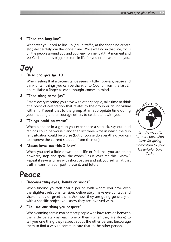### **4. "Take the long line"**

Whenever you need to line up (eg. in traffic, at the shopping center, etc.) deliberately join the longest line. While waiting in that line, focus on the people around you and your environment at that moment and ask God about his bigger picture in life for you or those around you.

# **Joy**

### **1. "Rise and give me 10"**

When feeling that a circumstance seems a little hopeless, pause and think of ten things you can be thankful to God for from the last 24 hours. Raise a finger as each thought comes to mind.

### **2. "Take along some joy"**

Before every meeting you have with other people, take time to think of a point of celebration that relates to the group or an individual within it. Present that to the group at an appropriate time during your meeting and encourage others to celebrate it with you.

### **3. "Things could be worse"**

When alone or in a group you experience a setback, say out loud "things could be worse!" and then list three ways in which the current situation could be worse (but of course do everything you can to improve the current situation from then on).

### **4. "Jesus loves me this I know"**

When you feel a little down about life or feel that you are going nowhere, stop and speak the words "Jesus loves me this I know." Repeat it several times with short pauses and ask yourself what that truth means for your past, present, and future.

### **Peace**

**1. "Reconnecting eyes, hands or words"**

When finding yourself near a person with whom you have even the slightest relational tension, deliberately make eye contact and shake hands or greet them. Ask how they are going generally or with a specific project you know they are involved with.

### **2. "Tell me one thing you respect"**

When coming across two or more people who have tension between them, deliberately ask each one of them (when they are alone) to tell you one thing they respect about the other person. Encourage them to find a way to communicate that to the other person.



*Visit the web site for more push-start ideas for giving momentum to your Three-Color Love Cycle.*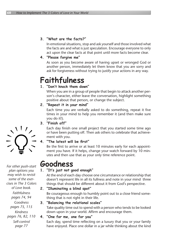### **3. "What are the facts?"**

In emotional situations, stop and ask yourself and those involved what the facts are and what is just speculation. Encourage everyone to only act upon the clear facts at that point until more facts become clear.

### **4. "Please forgive me"**

As soon as you become aware of having upset or wronged God or another person, immediately let them know that you are sorry and ask for forgiveness without trying to justify your actions in any way.

# **Faithfulness**

### **1. "Don't knock them down"**

When you are in a group of people that begin to attack another person's character, either leave the conversation, highlight something positive about that person, or change the subject.

### **2. "Repeat it in your mind"**

Each time you are verbally asked to do something, repeat it five times in your mind to help you remember it (and then make sure you do it!).

### **3. "Finish off"**

Each day finish one small project that you started some time ago or have been putting off. Then ask others to celebrate that achievement with you.

### **4. "The latest will be frst"**

Be the first to arrive or at least 10 minutes early for each appointment you have. If it helps, change your watch forward by 10 minutes and then use that as your only time reference point.

### **Goodness**

### **1. "It's just not good enough"**

At the end of each day choose one circumstance or relationship that doesn't represent life in all its fullness and note in your mind three things that should be different about it from God's perspective.

**2. "Illuminating a blind spot"**

Be courageous enough to humbly point out to a close friend something that is not right in their life.

### **3. "Balancing the relational scales"**

Take quality time out to spend with a person who tends to be looked down upon in your world. Affirm and encourage them.

### **4. "One for me, one for you"**

Each day, spend time reflecting on a luxury that you or your family have enjoyed. Place one dollar in a jar while thinking about the kind

 $\sqrt{11}$ 

*For other push-start plan options you may wish to revisit some of the exercises in The 3 Colors of Love book. Faithfulness pages 74, 94 Goodness pages 75, 115 Kindness pages 76, 82, 110 Self-control page 77*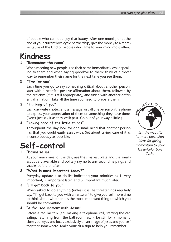of people who cannot enjoy that luxury. After one month, or at the end of your current love cycle partnership, give the money to a representative of the kind of people who came to your mind most often.

# **Kindness**

### **1. "Remember the name"**

When meeting new people, use their name immediately while speaking to them and when saying goodbye to them; think of a clever way to remember their name for the next time you see them.

### **2. "Two for one"**

Each time you go to say something critical about another person, start with a heartfelt positive affirmation about them, followed by the criticism (if it is still appropriate), and finish with another different affirmation. Take all the time you need to prepare them.

### **3. "Thinking of you"**

Each day write a note, send a message, or call one person on the phone to express your appreciation of them or something they have done. (Don't just say it as they walk past. Go out of your way a little.)

### **4. "Taking care of the little things"**

Throughout the day look for one small need that another person has that you could easily assist with. Set about taking care of it as inconspicuously as possible.

# **Self-control**

### **1. "Downsize me"**

At your main meal of the day, use the smallest plate and the smallest cutlery available and politely say no to any second helpings and snacks before or after.

**2. "What is most important today?"**

Everyday update a to do list indicating your priorities as 1. very important, 2. important later, and 3. important much later.

### **3. "I'll get back to you"**

When asked to do anything (unless it is life threatening) regularly say, "I'll get back to you with an answer" to give yourself more time to think about whether it is the most important thing to which you should be committing.

### **4. "A focused moment with Jesus"**

Before a regular task (eg. making a telephone call, starting the car, eating, returning from the bathroom, etc.), be still for a moment, close your eyes and focus exclusively on an image of Jesus and yourself together somewhere. Make yourself a sign to help you remember.



*Visit the web site for more push-start ideas for giving momentum to your Three-Color Love Cycle.*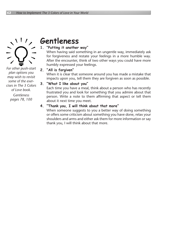

# **Gentleness**

### **1. "Putting it another way"**

When having said something in an ungentle way, immediately ask for forgiveness and restate your feelings in a more humble way. After the encounter, think of two other ways you could have more humbly expressed your feelings.

### **2. "All is forgiven"**

When it is clear that someone around you has made a mistake that impacts upon you, tell them they are forgiven as soon as possible.

### **3. "What I like about you"**

Each time you have a meal, think about a person who has recently frustrated you and look for something that you admire about that person. Write a note to them affirming that aspect or tell them about it next time you meet.

### **4. "Thank you, I will think about that more"**

When someone suggests to you a better way of doing something or offers some criticism about something you have done, relax your shoulders and arms and either ask them for more information or say thank you, I will think about that more.

*For other push-start plan options you may wish to revisit some of the exercises in The 3 Colors of Love book. Gentleness pages 78, 100*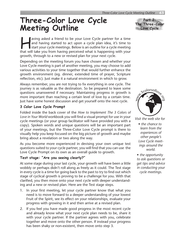# **Three-Color Love Cycle Meeting Outline**

aving asked a friend to be your Love Cycle partner for a time<br>and having started to act upon a cycle plan idea, it's time to<br>start your cycle meetings. Below is an outline for a cycle meeting<br>that will take you from baving and having started to act upon a cycle plan idea, it's time to start your cycle meetings. Below is an outline for a cycle meeting that will take you from having perceived what is happening with your growth, through to a new or revised plan for your next cycle.

Depending on the meeting forum you have chosen and whether your Love Cycle meeting is part of another meeting, you may choose to add various activities to your time together that would further enhance the growth environment (eg. dinner, extended time of prayer, Scripture reflection, etc). Just make it a natural environment in which to grow.

Always remember, you are not trying to fix everything in one cycle. The journey is as valuable as the destination. So be prepared to leave some questions unanswered if necessary. Maintaining progress in growth is more important than reaching a certain level of love by a certain time. Just have some honest discussion and get yourself onto the next cycle.

### **3 Color Love Cycle Prompt**

Folded inside the back cover of the *How to Implement The 3 Colors of Love in Your World* workbook you will find a visual prompt for use in your cycle meetings (or your group facilitator will have provided you with a copy). Spoken words and unique questions will be an important part of your meetings, but the Three-Color Love Cycle prompt is there to visually help you keep focused on the big picture of growth and maybe bring about a revelation or two along the way.

As you become more experienced in devising your own unique test questions suited to your cycle partner, you will find that you can use the Love Cycle Prompt on its own as an overall guide to growth.

### **Test stage: "Are you seeing clearly?"**

At some stage during your last cycle, your growth will have been a little wobbly or perhaps didn't roll along as freely as it could. The Test stage in every cycle is a time for going back to the past to try to find out which stage of cyclical growth is proving to be a challenge for you. With that clarified, you then move onto your next cycle with deeper understanding and a new or revised plan. Here are the Test stage steps.

- 1. In your first meeting, let your cycle partner know that what you need is to move forward to a deeper understanding of your lowest Fruit of the Spirit, see its effect on your relationships, evaluate your progress with growing in it and then arrive at a revised plan.
- 2. If you feel you have made good progress in the most recent cycle and already know what your next cycle plan needs to be, share it with your cycle partner. If the partner agrees with you, celebrate together and move onto the other person. If instead your progress has been shaky or non-existent, then move onto step 3.



**Part 2: The Three-Color Love Cycle**

*Visit the web site for* 

• the chance to *learn from the experiences of other people's Love Cycle meetings around the world.*

• the opportunity *to ask questions or get tips and advice in conducting your cycle meetings.*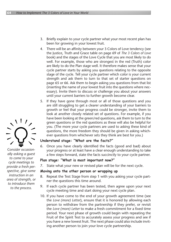- 3. Briefly explain to your cycle partner what your most recent plan has been for growing in your lowest fruit.
- 4. There will be an affinity between your 3 Colors of Love tendency (see the Justice, Truth and Grace table on page 69 of *The 3 Colors of Love*  book) and the stages of the Love Cycle that you are most likely to do well. For example, those who are strongest in the red (Truth) color are likely to do the Plan stage well. It therefore makes sense that your cycle partner starts by asking you questions relating to the opposite stage of the cycle. Tell your cycle partner which color is your current strength and ask them to turn to that set of starter questions on page 65 or 66. Ask them to begin asking you questions from that list (inserting the name of your lowest fruit into the questions where necessary). Invite them to discuss or challenge you about your answers until your current barriers to further growth become clear.
- 5. If they have gone through most or all of those questions and you are still struggling to get a clearer understanding of your barriers to growth or feel that your progress could be stronger, invite them to look at another closely related set of questions. For example, if you have been looking at the green/red questions, ask them to turn to the green questions or the red questions as these will also be helpful for you. (The more your cycle partners are used to asking these kind of questions, the more freedom they should be given in asking whichever questions from whichever sets they think are best for you.)

### **Understand stage: "What are the facts?"**

6. Once you have clearly identified the facts (good and bad) about your progress or at least have a clear enough understanding to take a few steps forward, state the facts succinctly to your cycle partner.

### **Plan stage: "What is most important now?"**

7. State what your new or revised plan will be for the next cycle.

### **Moving onto the other person or wrapping up**

- 8. Repeat the Test Stage from step 1 with you asking your cycle partner the questions this time around.
- 9. If each cycle partner has been tested, then agree upon your next cycle meeting time and start doing your next cycle plan.
- 10. If you have come to the end of your growth agreement time (see the *Love (more) Letter*), ensure that it is honored by allowing each person to withdraw from the partnership if they prefer, or revisit the *Love (more) Letter* to make a fresh commitment for a fixed time period. Your next phase of growth could begin with repeating the Fruit of the Spirit Test to accurately assess your progress and see if you have a new lowest fruit. The next phase could also include inviting another person to join your love cycle partnership.



*Consider occasionally asking a guest to come to your cycle meetings to provide a fresh perspective, give some instruction in an area of strength, or to introduce them to the process.*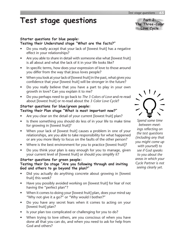**Part 2: The Three-Color Love Cycle**

# **Test stage questions**

### **Starter questions for blue people:**

### **Testing their Understand stage "What are the facts?"**

- Do you really accept that your lack of [lowest fruit] has a negative effect in your relationships?
- Are you able to share in detail with someone else what [lowest fruit] is all about and what the lack of it in your life looks like?
- In specific terms, how does your expression of love to those around you differ from the way that Jesus loves people?
- $\bullet$  When you look at your lack of [lowest fruit] in the past, what gives you confidence that your [lowest fruit] will be stronger in the future?
- Do you really believe that you have a part to play in your own growth in love? Can you explain it to me?
- Do you perhaps need to go back to *The 3 Colors of Love* and re-read about [lowest fruit] or re-read about the *3 Color Love Cycle*?

### **Starter questions for blue/green people: Testing their Plan stage "What is most important now?"**

- Are you clear on the detail of your current [lowest fruit] plan?
- Is there something you should do less of in your life to make time for growing in [lowest fruit]?
- When your lack of [lowest fruit] causes a problem in one of your relationships, are you able to take responsibility for what happened or are you more likely to focus on the faults of the other person?
- Where is the best environment for you to practice [lowest fruit]?
- Do you think your plan is easy enough for you to manage, given your current level of [lowest fruit] or should you simplify it?

### **Starter questions for green people:**

### **Testing their Do stage "Are you following through and inviting God and others to go beyond the plan?"**

- Did you actually do anything concrete about growing in [lowest] fruit] this week?
- Have you possibly avoided working on [lowest fruit] for fear of not having the "perfect plan"?
- When it comes to doing your [lowest fruit] plan, does your mind say "Why not give it a go?" or "Why would I bother?"
- Do you have any secret fears when it comes to acting on your [lowest fruit] plan?
- Is your plan too complicated or challenging for you to do?
- When trying to love others, are you conscious of when you have done all that you can do, and when you need to ask for help from God and others?



*Spend some time between meetings reflecting on the test questions (including any that you might come up with yourself) to see if God speaks to you about the areas in which your Cycle Partner is not seeing clearly yet.*